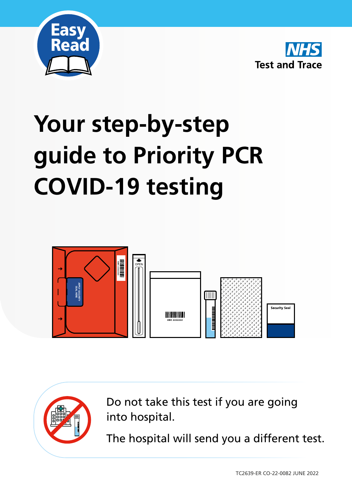



# **Your step-by-step guide to Priority PCR COVID-19 testing**



Do not take this test if you are going into hospital.

The hospital will send you a different test.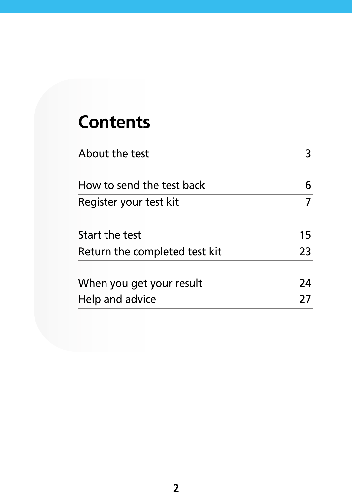### **Contents**

| About the test                |    |
|-------------------------------|----|
| How to send the test back     |    |
| Register your test kit        |    |
| Start the test                | 15 |
| Return the completed test kit | 23 |
| When you get your result      | 24 |
| Help and advice               | 27 |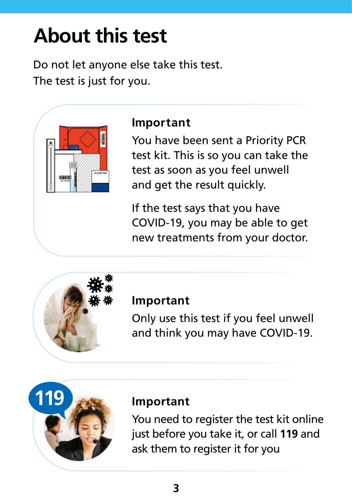## **About this test**

Do not let anyone else take this test. The test is just for you.



#### **Important**

You have been sent a Priority PCR test kit. This is so you can take the test as soon as you feel unwell and get the result quickly.

If the test says that you have COVID-19, you may be able to get new treatments from your doctor.



#### **Important**

Only use this test if you feel unwell and think you may have COVID-19.



#### **Important**

You need to register the test kit online just before you take it, or call **119** and ask them to register it for you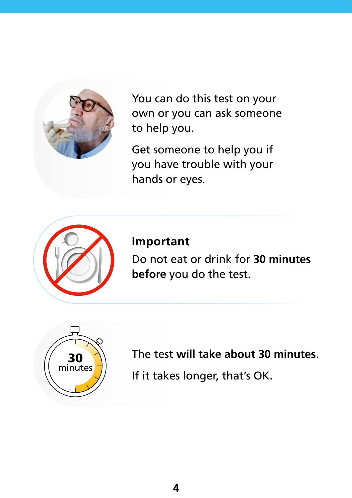

You can do this test on your own or you can ask someone to help you.

Get someone to help you if you have trouble with your hands or eyes.



**Important** 

Do not eat or drink for **30 minutes before** you do the test.



The test **will take about 30 minutes**.

If it takes longer, that's OK.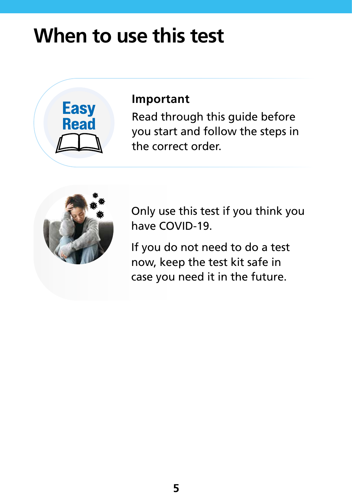### **When to use this test**



#### **Important**

Read through this guide before you start and follow the steps in the correct order.



Only use this test if you think you have COVID-19.

If you do not need to do a test now, keep the test kit safe in case you need it in the future.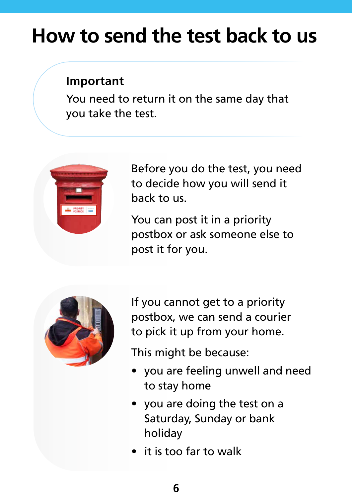### **How to send the test back to us**

#### **Important**

You need to return it on the same day that you take the test.



Before you do the test, you need to decide how you will send it back to us.

You can post it in a priority postbox or ask someone else to post it for you.



If you cannot get to a priority postbox, we can send a courier to pick it up from your home.

This might be because:

- you are feeling unwell and need to stay home
- you are doing the test on a Saturday, Sunday or bank holiday
- it is too far to walk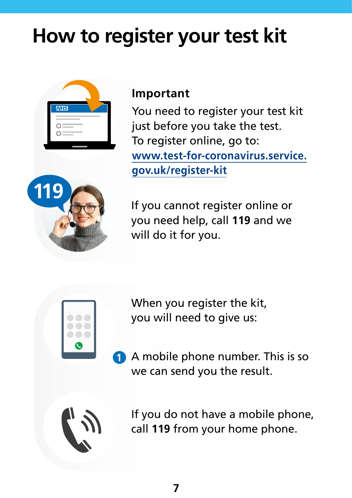### **How to register your test kit**



#### **Important**

You need to register your test kit just before you take the test. To register online, go to: **[www.test-for-coronavirus.service.](http://www.test-for-coronavirus.service.gov.uk/register-kit) [gov.uk/register-kit](http://www.test-for-coronavirus.service.gov.uk/register-kit)**



If you cannot register online or you need help, call **119** and we will do it for you.



When you register the kit, you will need to give us:

**1** A mobile phone number. This is so we can send you the result.



If you do not have a mobile phone, call **119** from your home phone.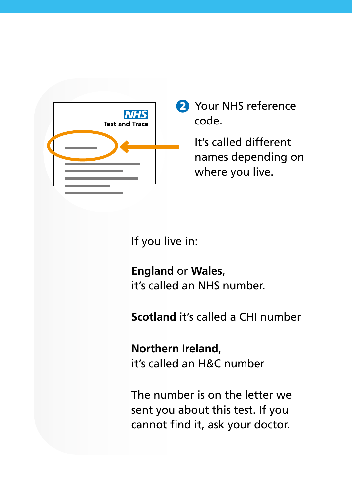

2 Your NHS reference code.

> It's called different names depending on where you live.

If you live in:

**England** or **Wales**, it's called an NHS number.

**Scotland** it's called a CHI number

**Northern Ireland**, it's called an H&C number

The number is on the letter we sent you about this test. If you cannot find it, ask your doctor.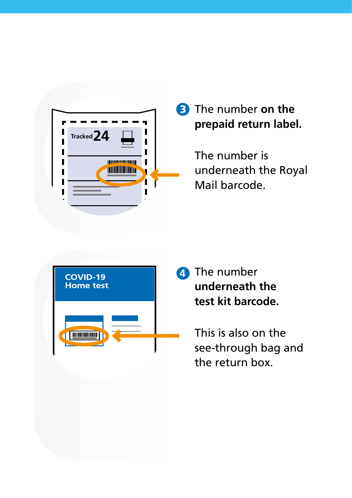

#### **3** The number on the **prepaid return label.**

The number is underneath the Royal Mail barcode.



4 The number **underneath the test kit barcode.**

> This is also on the see-through bag and the return box.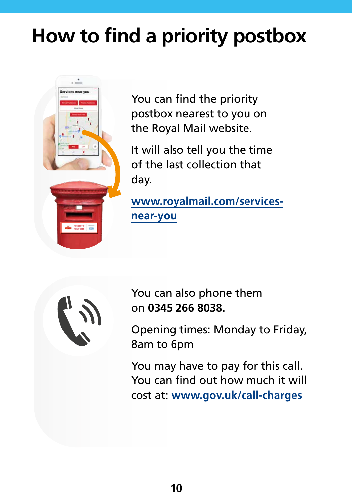### **How to find a priority postbox**



You can find the priority postbox nearest to you on the Royal Mail website.

It will also tell you the time of the last collection that day.

**[www.royalmail.com/services](http://www.royalmail.com/services-near-you)[near-you](http://www.royalmail.com/services-near-you)**



You can also phone them on **0345 266 8038.**

Opening times: Monday to Friday, 8am to 6pm

You may have to pay for this call. You can find out how much it will cost at: **[www.gov.uk/call-charges](http://www.gov.uk/call-charges)**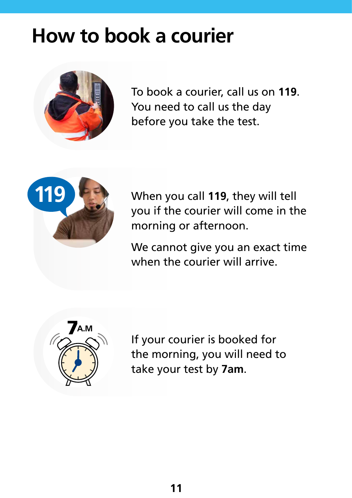### **How to book a courier**



To book a courier, call us on **119**. You need to call us the day before you take the test.



When you call **119**, they will tell you if the courier will come in the morning or afternoon.

We cannot give you an exact time when the courier will arrive.



If your courier is booked for the morning, you will need to take your test by **7am**.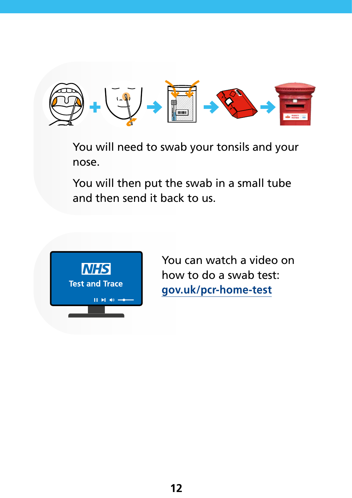

You will need to swab your tonsils and your nose.

You will then put the swab in a small tube and then send it back to us.



You can watch a video on how to do a swab test: **[gov.uk/pcr-home-test](http://gov.uk/pcr-home-test)**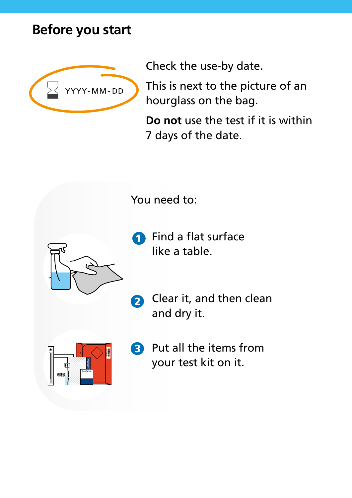#### **Before you start**



Check the use-by date.

This is next to the picture of an hourglass on the bag.

**Do not** use the test if it is within 7 days of the date.

You need to:

- **1** Find a flat surface like a table.
- **2** Clear it, and then clean and dry it.



**3** Put all the items from your test kit on it.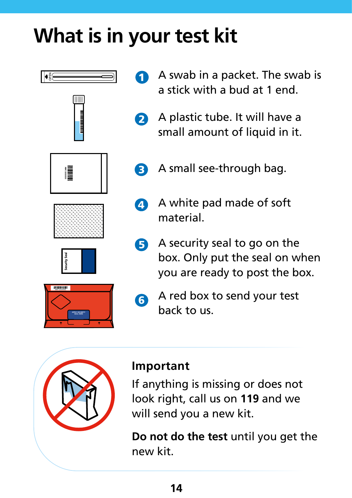### **What is in your test kit**











- **1** A swab in a packet. The swab is a stick with a bud at 1 end.
- 2 A plastic tube. It will have a small amount of liquid in it.
- 3 A small see-through bag.
- 4 A white pad made of soft material.
- 5 A security seal to go on the box. Only put the seal on when you are ready to post the box.
- 6 A red box to send your test back to us.



#### **Important**

If anything is missing or does not look right, call us on **119** and we will send you a new kit.

**Do not do the test** until you get the new kit.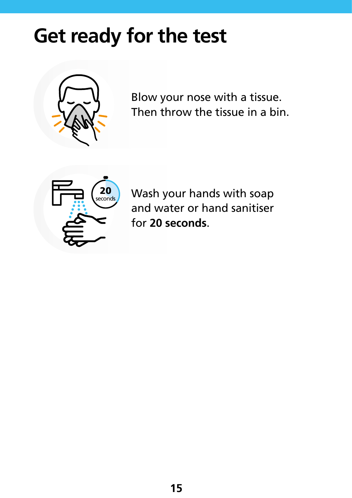### **Get ready for the test**



Blow your nose with a tissue. Then throw the tissue in a bin.



Wash your hands with soap and water or hand sanitiser for **20 seconds**.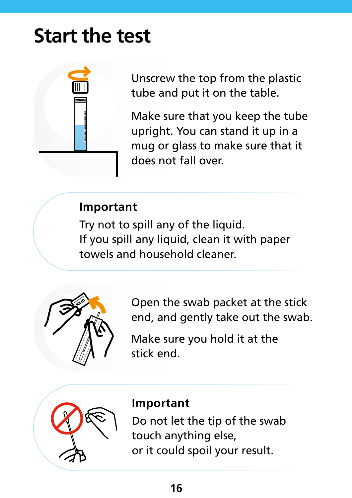### **Start the test**



Unscrew the top from the plastic tube and put it on the table.

Make sure that you keep the tube upright. You can stand it up in a mug or glass to make sure that it does not fall over.

#### **Important**

Try not to spill any of the liquid. If you spill any liquid, clean it with paper towels and household cleaner.



Open the swab packet at the stick end, and gently take out the swab.

Make sure you hold it at the stick end.



#### **Important**

Do not let the tip of the swab touch anything else, or it could spoil your result.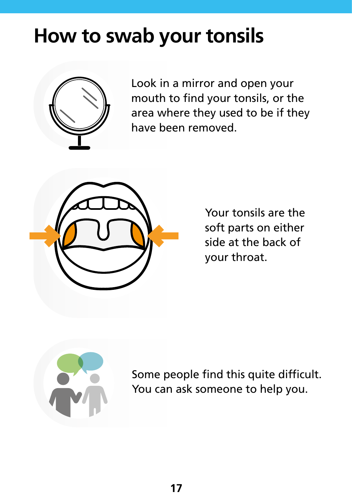### **How to swab your tonsils**



Look in a mirror and open your mouth to find your tonsils, or the area where they used to be if they have been removed.



Your tonsils are the soft parts on either side at the back of your throat.



Some people find this quite difficult. You can ask someone to help you.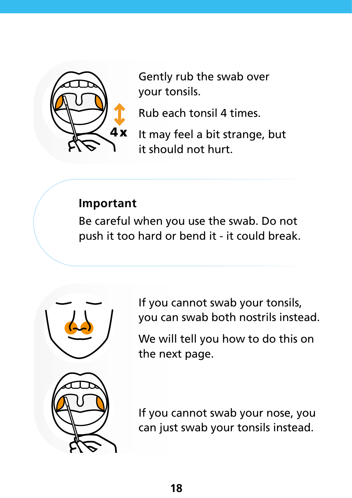

Gently rub the swab over your tonsils.

Rub each tonsil 4 times.

It may feel a bit strange, but it should not hurt.

#### **Important**

Be careful when you use the swab. Do not push it too hard or bend it - it could break.



If you cannot swab your tonsils, you can swab both nostrils instead.

We will tell you how to do this on the next page.

If you cannot swab your nose, you can just swab your tonsils instead.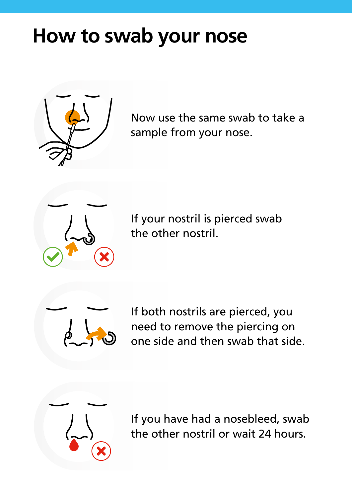### **How to swab your nose**



Now use the same swab to take a sample from your nose.



If your nostril is pierced swab the other nostril.



If both nostrils are pierced, you need to remove the piercing on one side and then swab that side.



If you have had a nosebleed, swab the other nostril or wait 24 hours.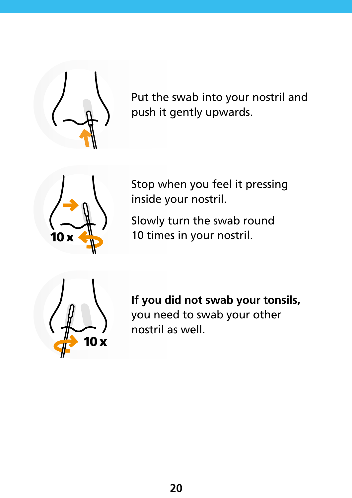

Put the swab into your nostril and push it gently upwards.



Stop when you feel it pressing inside your nostril.

Slowly turn the swab round 10 times in your nostril.



**If you did not swab your tonsils,**  you need to swab your other nostril as well.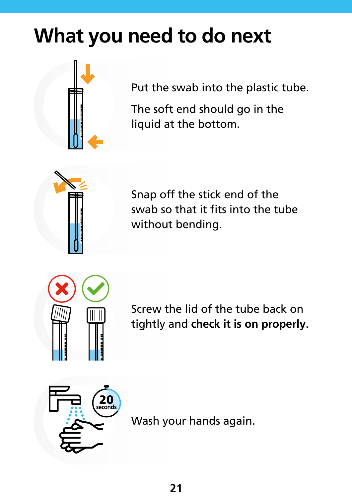### **What you need to do next**

Put the swab into the plastic tube.

The soft end should go in the liquid at the bottom.



Snap off the stick end of the swab so that it fits into the tube without bending.



Screw the lid of the tube back on tightly and **check it is on properly**.



Wash your hands again.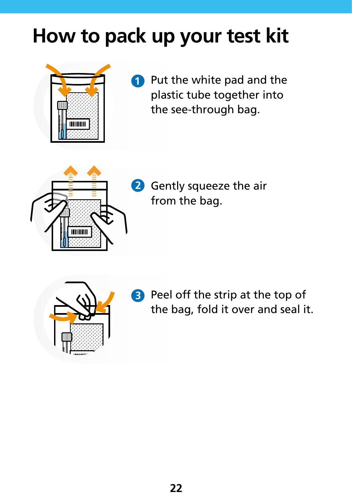### **How to pack up your test kit**



**1** Put the white pad and the plastic tube together into the see-through bag.



**2** Gently squeeze the air from the bag.



**3** Peel off the strip at the top of the bag, fold it over and seal it.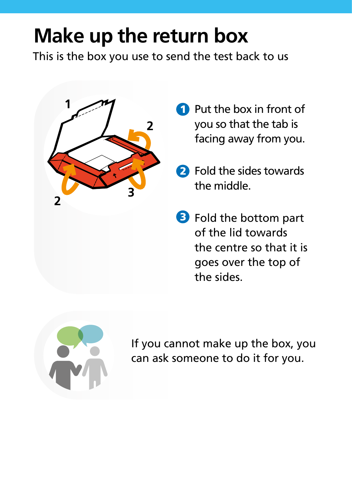### **Make up the return box**

This is the box you use to send the test back to us



- **Put the box in front of** you so that the tab is facing away from you.
- 2 Fold the sides towards the middle.
- **3** Fold the bottom part of the lid towards the centre so that it is goes over the top of the sides.



If you cannot make up the box, you can ask someone to do it for you.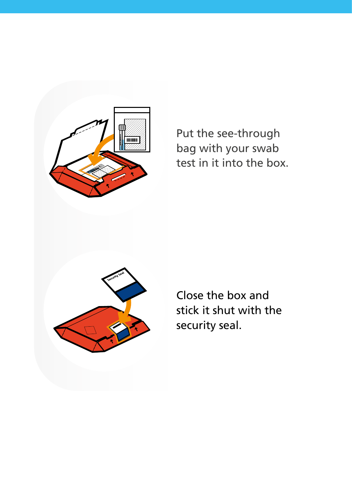

Put the see-through bag with your swab test in it into the box.



Close the box and stick it shut with the security seal.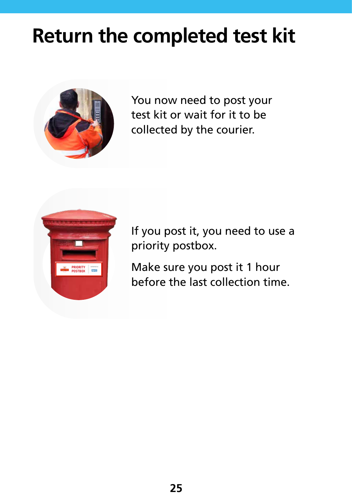### **Return the completed test kit**



You now need to post your test kit or wait for it to be collected by the courier.



If you post it, you need to use a priority postbox.

Make sure you post it 1 hour before the last collection time.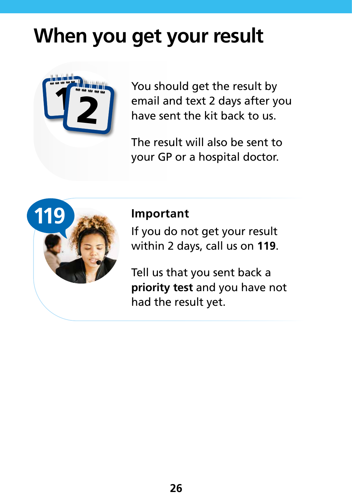### **When you get your result**



You should get the result by email and text 2 days after you have sent the kit back to us.

The result will also be sent to your GP or a hospital doctor.



#### **Important**

If you do not get your result within 2 days, call us on **119**.

Tell us that you sent back a **priority test** and you have not had the result yet.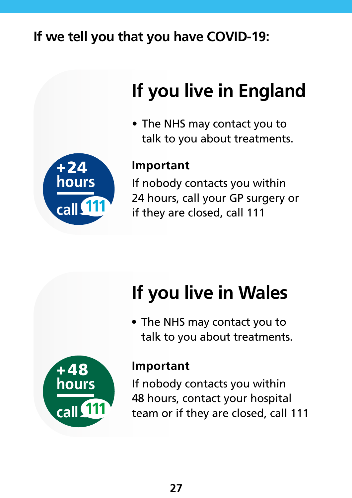### **If we tell you that you have COVID-19:**



### **If you live in England**

• The NHS may contact you to talk to you about treatments.

#### **Important**

If nobody contacts you within 24 hours, call your GP surgery or if they are closed, call 111



• The NHS may contact you to talk to you about treatments.



#### **Important**

If nobody contacts you within 48 hours, contact your hospital team or if they are closed, call 111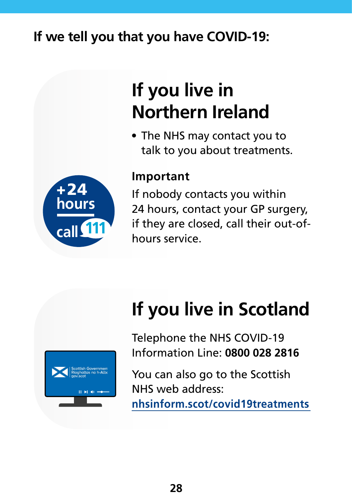### **If we tell you that you have COVID-19:**



### **If you live in Northern Ireland**

• The NHS may contact you to talk to you about treatments.

#### **Important**

If nobody contacts you within 24 hours, contact your GP surgery, if they are closed, call their out-ofhours service.

# **If you live in Scotland**



You can also go to the Scottish NHS web address:

**[nhsinform.scot/covid19treatments](http://gov.uk/pcr-home-test)**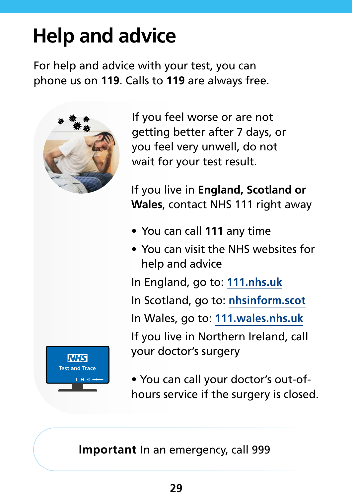### **Help and advice**

For help and advice with your test, you can phone us on **119**. Calls to **119** are always free.



If you feel worse or are not getting better after 7 days, or you feel very unwell, do not wait for your test result.

If you live in **England, Scotland or Wales**, contact NHS 111 right away

- You can call **111** any time
- You can visit the NHS websites for help and advice

In England, go to: **[111.nhs.uk](http://111.nhs.uk)**

In Scotland, go to: **[nhsinform.scot](http://nhsinform.scot)**

In Wales, go to: **[111.wales.nhs.uk](http://111.wales.nhs.uk)**

If you live in Northern Ireland, call your doctor's surgery

• You can call your doctor's out-ofhours service if the surgery is closed.

**Important** In an emergency, call 999

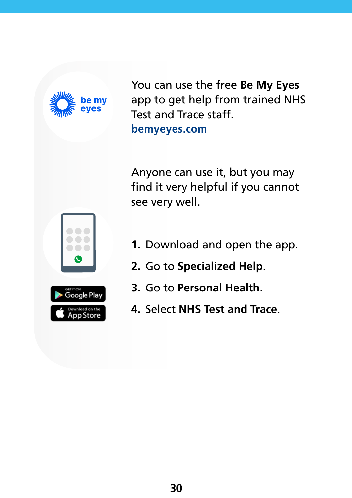

You can use the free **Be My Eyes** app to get help from trained NHS Test and Trace staff. **[bemyeyes.com](http://bemyeyes.com )**

Anyone can use it, but you may find it very helpful if you cannot see very well.



- **1.** Download and open the app.
- **2.** Go to **Specialized Help**.
- **3.** Go to **Personal Health**.
- **4.** Select **NHS Test and Trace**.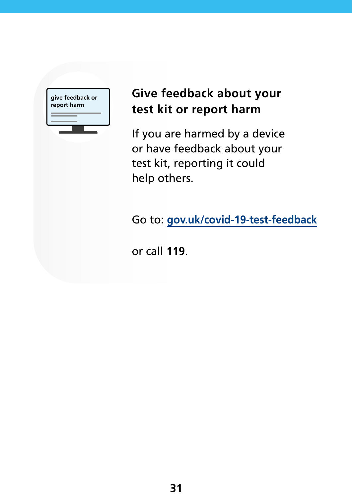**give feedback or report harm**

#### **Give feedback about your test kit or report harm**

If you are harmed by a device or have feedback about your test kit, reporting it could help others.

Go to: **gov.uk/covid-19-test-feedback**

or call **119**.